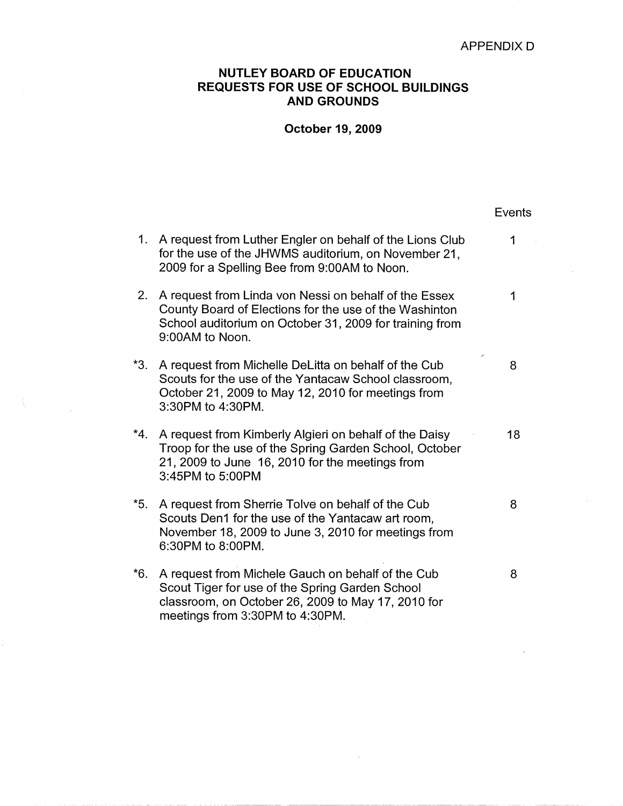Events

## **NUTLEY BOARD OF EDUCATION REQUESTS FOR USE OF SCHOOL BUILDINGS AND GROUNDS**

## **October 19, 2009**

| 1.  | A request from Luther Engler on behalf of the Lions Club<br>for the use of the JHWMS auditorium, on November 21,<br>2009 for a Spelling Bee from 9:00AM to Noon.                              | 1  |
|-----|-----------------------------------------------------------------------------------------------------------------------------------------------------------------------------------------------|----|
| 2.  | A request from Linda von Nessi on behalf of the Essex<br>County Board of Elections for the use of the Washinton<br>School auditorium on October 31, 2009 for training from<br>9:00AM to Noon. | 1  |
| *3. | A request from Michelle DeLitta on behalf of the Cub<br>Scouts for the use of the Yantacaw School classroom,<br>October 21, 2009 to May 12, 2010 for meetings from<br>3:30PM to 4:30PM.       | 8  |
| *4. | A request from Kimberly Algieri on behalf of the Daisy<br>Troop for the use of the Spring Garden School, October<br>21, 2009 to June 16, 2010 for the meetings from<br>3:45PM to 5:00PM       | 18 |
| *5. | A request from Sherrie Tolve on behalf of the Cub<br>Scouts Den1 for the use of the Yantacaw art room,<br>November 18, 2009 to June 3, 2010 for meetings from<br>6:30PM to 8:00PM.            | 8  |
| *6. | A request from Michele Gauch on behalf of the Cub<br>Scout Tiger for use of the Spring Garden School<br>classroom, on October 26, 2009 to May 17, 2010 for<br>meetings from 3:30PM to 4:30PM. | 8  |